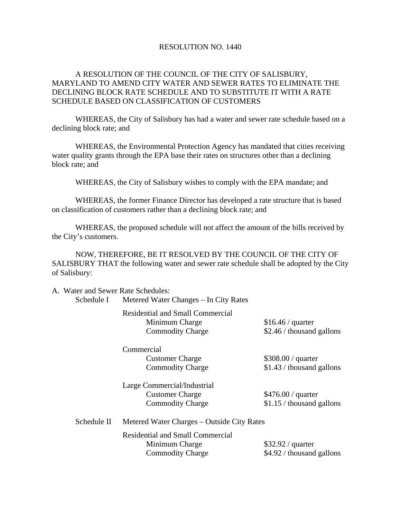#### RESOLUTION NO. 1440

### A RESOLUTION OF THE COUNCIL OF THE CITY OF SALISBURY, MARYLAND TO AMEND CITY WATER AND SEWER RATES TO ELIMINATE THE DECLINING BLOCK RATE SCHEDULE AND TO SUBSTITUTE IT WITH A RATE SCHEDULE BASED ON CLASSIFICATION OF CUSTOMERS

 WHEREAS, the City of Salisbury has had a water and sewer rate schedule based on a declining block rate; and

 WHEREAS, the Environmental Protection Agency has mandated that cities receiving water quality grants through the EPA base their rates on structures other than a declining block rate; and

WHEREAS, the City of Salisbury wishes to comply with the EPA mandate; and

 WHEREAS, the former Finance Director has developed a rate structure that is based on classification of customers rather than a declining block rate; and

 WHEREAS, the proposed schedule will not affect the amount of the bills received by the City's customers.

 NOW, THEREFORE, BE IT RESOLVED BY THE COUNCIL OF THE CITY OF SALISBURY THAT the following water and sewer rate schedule shall be adopted by the City of Salisbury:

A. Water and Sewer Rate Schedules:

Schedule I Metered Water Changes – In City Rates

 Residential and Small Commercial Minimum Charge \$16.46 / quarter Commodity Charge \$2.46 / thousand gallons

Commercial

 Large Commercial/Industrial Customer Charge \$476.00 / quarter

Customer Charge \$308.00 / quarter Commodity Charge \$1.43 / thousand gallons

Commodity Charge \$1.15 / thousand gallons

 Schedule II Metered Water Charges – Outside City Rates Residential and Small Commercial Minimum Charge \$32.92 / quarter

Commodity Charge \$4.92 / thousand gallons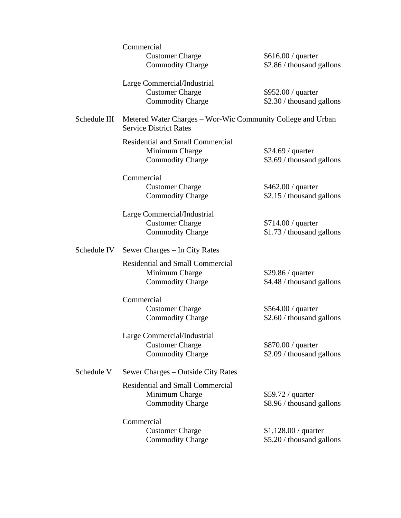|              | Commercial                              |                                                             |  |  |
|--------------|-----------------------------------------|-------------------------------------------------------------|--|--|
|              | <b>Customer Charge</b>                  | $$616.00 /$ quarter                                         |  |  |
|              | <b>Commodity Charge</b>                 | \$2.86 / thousand gallons                                   |  |  |
|              | Large Commercial/Industrial             |                                                             |  |  |
|              | <b>Customer Charge</b>                  | \$952.00 / quarter                                          |  |  |
|              | <b>Commodity Charge</b>                 | \$2.30 / thousand gallons                                   |  |  |
| Schedule III | <b>Service District Rates</b>           | Metered Water Charges - Wor-Wic Community College and Urban |  |  |
|              | <b>Residential and Small Commercial</b> |                                                             |  |  |
|              | Minimum Charge                          | \$24.69 / quarter                                           |  |  |
|              | <b>Commodity Charge</b>                 | \$3.69 / thousand gallons                                   |  |  |
|              | Commercial                              |                                                             |  |  |
|              | <b>Customer Charge</b>                  | \$462.00 / quarter                                          |  |  |
|              | <b>Commodity Charge</b>                 | \$2.15 / thousand gallons                                   |  |  |
|              | Large Commercial/Industrial             |                                                             |  |  |
|              | <b>Customer Charge</b>                  | \$714.00 / quarter                                          |  |  |
|              | <b>Commodity Charge</b>                 | \$1.73 / thousand gallons                                   |  |  |
| Schedule IV  | Sewer Charges – In City Rates           |                                                             |  |  |
|              | <b>Residential and Small Commercial</b> |                                                             |  |  |
|              | Minimum Charge                          | \$29.86 / quarter                                           |  |  |
|              | <b>Commodity Charge</b>                 | \$4.48 / thousand gallons                                   |  |  |
|              | Commercial                              |                                                             |  |  |
|              | <b>Customer Charge</b>                  | \$564.00 / quarter                                          |  |  |
|              | <b>Commodity Charge</b>                 | \$2.60 / thousand gallons                                   |  |  |
|              | Large Commercial/Industrial             |                                                             |  |  |
|              | <b>Customer Charge</b>                  | $$870.00 /$ quarter                                         |  |  |
|              | <b>Commodity Charge</b>                 | \$2.09 / thousand gallons                                   |  |  |
| Schedule V   | Sewer Charges – Outside City Rates      |                                                             |  |  |
|              | <b>Residential and Small Commercial</b> |                                                             |  |  |
|              | Minimum Charge                          | \$59.72 / quarter                                           |  |  |
|              | <b>Commodity Charge</b>                 | \$8.96 / thousand gallons                                   |  |  |
|              |                                         |                                                             |  |  |
|              | Commercial                              |                                                             |  |  |
|              | <b>Customer Charge</b>                  | $$1,128.00 /$ quarter                                       |  |  |
|              | <b>Commodity Charge</b>                 | \$5.20 / thousand gallons                                   |  |  |
|              |                                         |                                                             |  |  |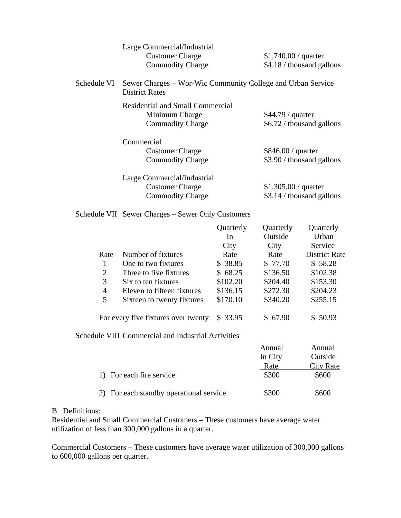|             | Large Commercial/Industrial<br><b>Customer Charge</b><br><b>Commodity Charge</b>     | $$1,740.00 /$ quarter<br>$$4.18 /$ thousand gallons |
|-------------|--------------------------------------------------------------------------------------|-----------------------------------------------------|
| Schedule VI | Sewer Charges – Wor-Wic Community College and Urban Service<br><b>District Rates</b> |                                                     |
|             | Residential and Small Commercial<br>Minimum Charge<br><b>Commodity Charge</b>        | \$44.79 / quarter<br>\$6.72 / thousand gallons      |
|             | Commercial<br><b>Customer Charge</b><br><b>Commodity Charge</b>                      | $$846.00 /$ quarter<br>\$3.90 / thousand gallons    |
|             | Large Commercial/Industrial<br><b>Customer Charge</b><br><b>Commodity Charge</b>     | $$1,305.00 /$ quarter<br>\$3.14 / thousand gallons  |

Schedule VII Sewer Charges – Sewer Only Customers

| Quarterly | Quarterly                                                                                 | Quarterly            |
|-----------|-------------------------------------------------------------------------------------------|----------------------|
| In        | Outside                                                                                   | Urban                |
| City      | City                                                                                      | Service              |
| Rate      | Rate                                                                                      | <b>District Rate</b> |
| \$38.85   | \$77.70                                                                                   | \$58.28              |
| \$68.25   | \$136.50                                                                                  | \$102.38             |
| \$102.20  | \$204.40                                                                                  | \$153.30             |
| \$136.15  | \$272.30                                                                                  | \$204.23             |
| \$170.10  | \$340.20                                                                                  | \$255.15             |
| \$33.95   | \$67.90                                                                                   | \$50.93              |
|           |                                                                                           |                      |
|           | Annual                                                                                    | Annual               |
|           | In City                                                                                   | Outside              |
|           | Rate                                                                                      | <b>City Rate</b>     |
|           | \$300                                                                                     | \$600                |
|           | For every five fixtures over twenty<br>Schedule VIII Commercial and Industrial Activities |                      |

# 2) For each standby operational service \$300 \$600

## B. Definitions:

Residential and Small Commercial Customers – These customers have average water utilization of less than 300,000 gallons in a quarter.

Commercial Customers – These customers have average water utilization of 300,000 gallons to 600,000 gallons per quarter.